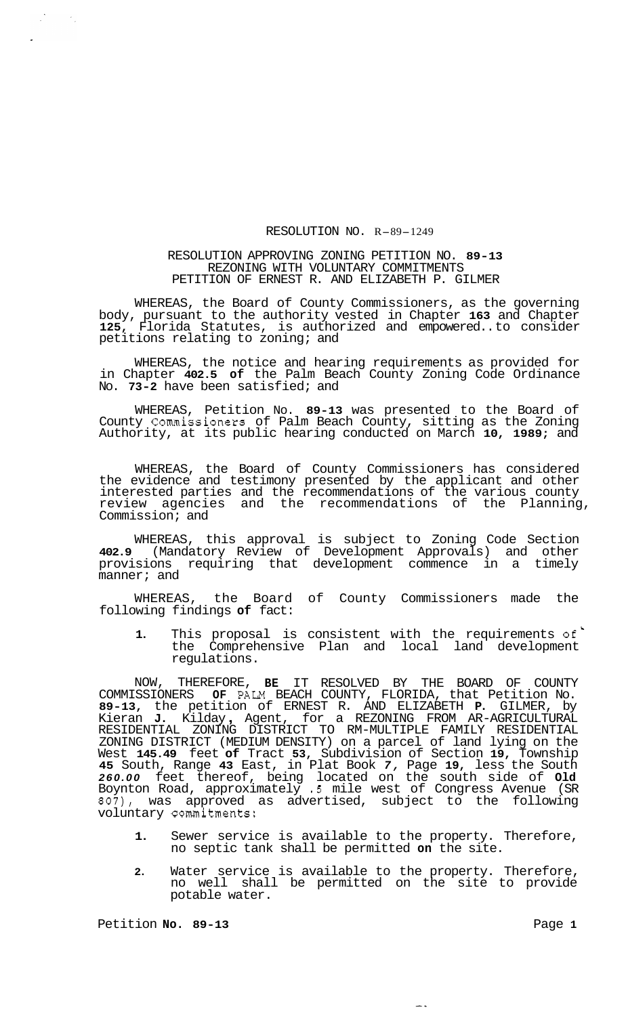## RESOLUTION NO. R-89-1249

## RESOLUTION APPROVING ZONING PETITION NO. **89-13**  REZONING WITH VOLUNTARY COMMITMENTS PETITION OF ERNEST R. AND ELIZABETH P. GILMER

WHEREAS, the Board of County Commissioners, as the governing body, pursuant to the authority vested in Chapter **163** and Chapter **125,** Florida Statutes, is authorized and empowered.. to consider petitions relating to zoning; and

WHEREAS, the notice and hearing requirements as provided for in Chapter **402.5 of** the Palm Beach County Zoning Code Ordinance No. **73-2** have been satisfied; and

WHEREAS, Petition No. **89-13** was presented to the Board of County Commissioners of Palm Beach County, sitting as the Zoning Authority, at its public hearing conducted on March **10, 1989;** and

WHEREAS, the Board of County Commissioners has considered the evidence and testimony presented by the applicant and other interested parties and the recommendations of the various county review agencies and the recommendations of the Planning, Commission; and

WHEREAS, this approval is subject to Zoning Code Section **402.9** (Mandatory Review of Development Approvals) and other provisions requiring that development commence in a timely manner; and

WHEREAS, the Board of County Commissioners made the following findings **of** fact:

1. This proposal is consistent with the requirements of the Comprehensive Plan and local land development regulations.

NOW, THEREFORE, **BE** IT RESOLVED BY THE BOARD OF COUNTY COMMISSIONERS **OF** PALM BEACH COUNTY, FLORIDA, that Petition No. **89-13,** the petition of ERNEST R. AND ELIZABETH **P.** GILMER, by Kieran **J.** Kilday , Agent, for a REZONING FROM AR-AGRICULTURAL ZONING DISTRICT (MEDIUM DENSITY) on a parcel of land lying on the West **145.49** feet **of** Tract **53,** Subdivision of Section **19,** Township **45** South, Range **43** East, in Plat Book *7,* Page **19,** less the South *260.00* feet thereof, being located on the south side of **Old**  Boynton Road, approximately **.5** mile west of Congress Avenue (SR *807),* was approved as advertised, subject to the following voluntary commitments: RESIDENTIAL ZONING DISTRICT TO RM-MULTIPLE FAMILY RESIDENTIAL

- **1.** Sewer service is available to the property. Therefore, no septic tank shall be permitted **on** the site.
- **2.** Water service is available to the property. Therefore, no well shall be permitted on the site to provide potable water.

Petition **No. 89-13** Page 1

 $\mathbb{R}^2$ 

 $\frac{1}{2}$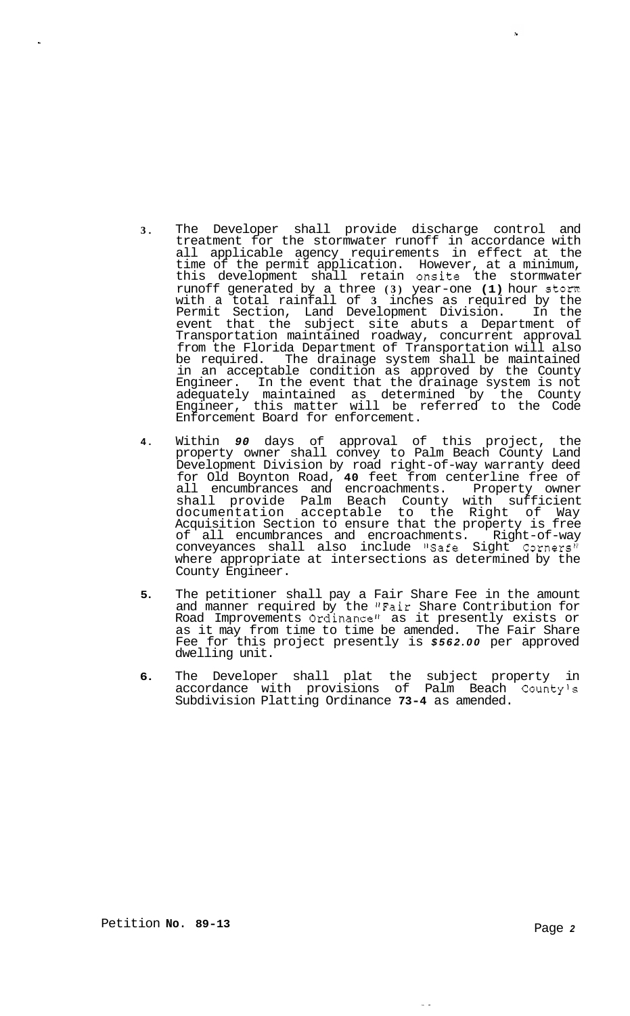**3.** The Developer shall provide discharge control and treatment for the stormwater runoff in accordance with all applicable agency requirements in effect at the time of the permit application. However, at a minimum, this development shall retain onsite the stormwater runoff generated by a three **(3)** year-one **(1)** hour storm with a total rainfall of **3** inches as required by the Permit Section, Land Development Division. In the event that the subject site abuts a Department of Transportation maintained roadway, concurrent approval from the Florida Department of Transportation will also be required. The drainage system shall be maintained in an acceptable condition as approved by the County Engineer. In the event that the drainage system is not adequately maintained as determined by the County Engineer, this matter will be referred to the Code Enforcement Board for enforcement.

 $\mathbf{S}$ 

- **4.** Within *90* days of approval of this project, the property owner shall convey to Palm Beach County Land Development Division by road right-of-way warranty deed for Old Boynton Road, **40** feet from centerline free of all encumbrances and encroachments. Property owner shall provide Palm Beach County with sufficient documentation acceptable to the Right of Way Acquisition Section to ensure that the property is free of all encumbrances and encroachments. Right-of-way conveyances shall also include "Safe Sight Corners" where appropriate at intersections as determined by the County Engineer.
- **5.** The petitioner shall pay a Fair Share Fee in the amount and manner required by the "Fair Share Contribution for Road Improvements Ordinance" as it presently exists or as it may from time to time be amended. The Fair Share Fee for this project presently is *\$562.00* per approved dwelling unit.
- **6.** The Developer shall plat the subject property in accordance with provisions of Palm Beach County's Subdivision Platting Ordinance **73-4** as amended.

 $\sim$